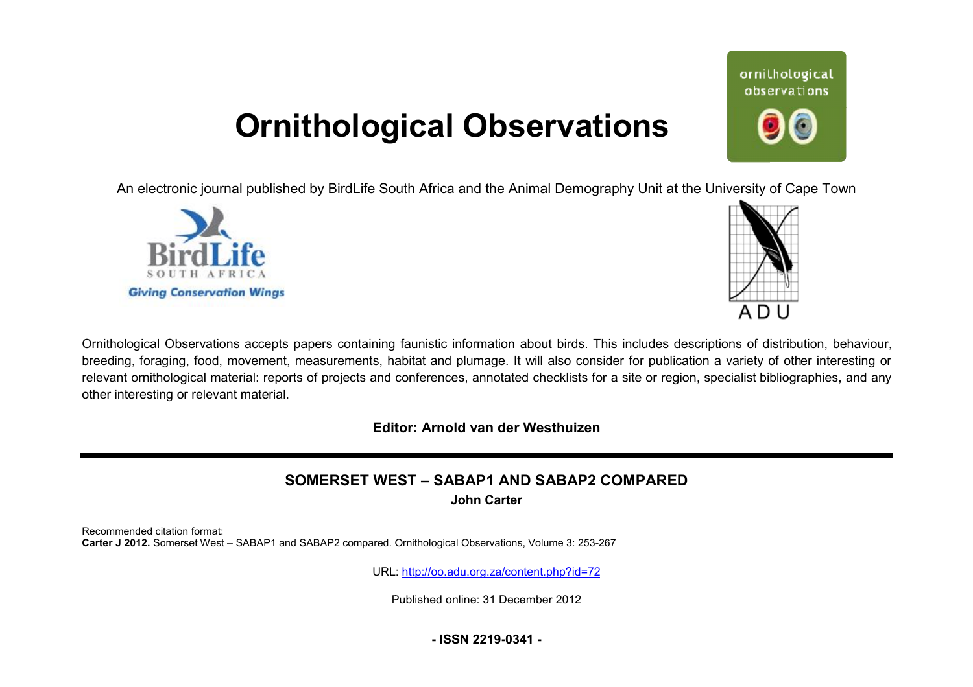# **Ornithological Observations**

An electronic journal published by BirdLife South Africa and the Animal Demography Unit at the University of Cape Town





ornithological observations

Ornithological Observations accepts papers containing faunistic information about birds. This includes descriptions of distribution, behaviour, breeding, foraging, food, movement, measurements, habitat and plumage. It will also consider for publication a variety of other interesting or relevant ornithological material: reports of projects and conferences, annotated checklists for a site or region, specialist bibliographies, and any other interesting or relevant material.

**Editor: Arnold van der Westhuizen**

# **SOMERSET WEST – SABAP1 AND SABAP2 COMPARED**

**John Carter** 

Recommended citation format: **Carter J 2012.** Somerset West – SABAP1 and SABAP2 compared. Ornithological Observations Observations, Volume 3: 253-267

URL: <http://oo.adu.org.za/content.php?id=72>

Published online: 31 December 2012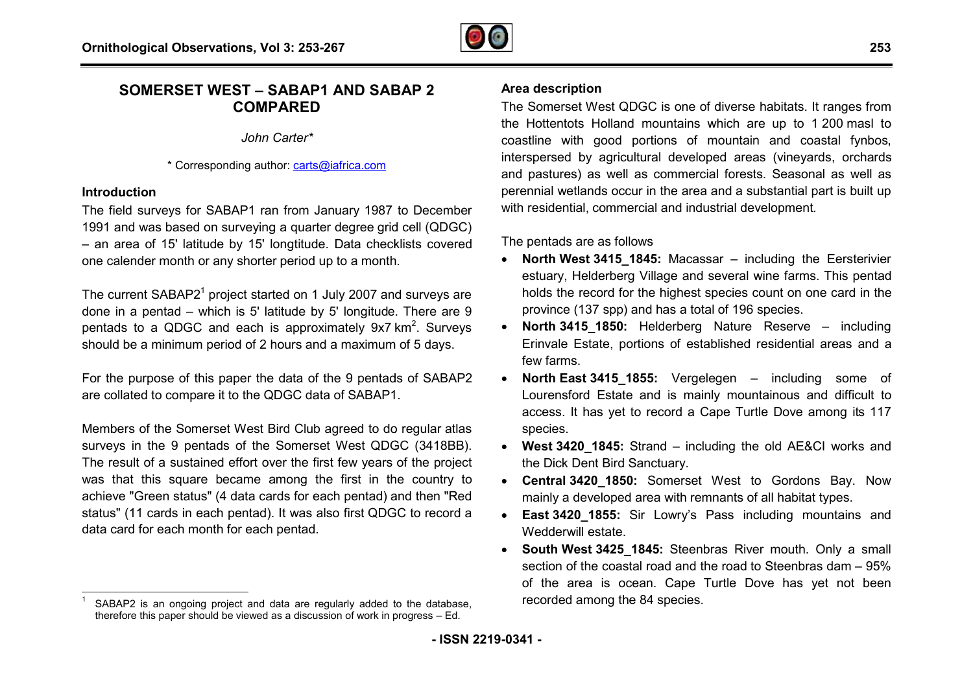

## **SOMERSET WEST – SABAP1 AND SABAP 2 P1COMPARED**

*John Carter\**

\* Corresponding author: [carts@iafrica.com](mailto:carts@iafrica.com)

#### **Introduction**

The field surveys for SABAP1 ran from January 1987 to December 1991 and was based on surveying a quarter degree grid cell (QDGC) – an area of 15' latitude by 15' longtitude. Data checklists covered one calender month or any shorter period up to a month.

The current SABAP2 $1$  project started on 1 July 2007 and surveys are done in a pentad  $-$  which is 5' latitude by 5' longitude. There are  $9$ pentads to a QDGC and each is approximately  $9x7 km<sup>2</sup>$ . Surveys should be a minimum period of 2 hours and a maximum of 5 days.

For the purpose of this paper the data of the 9 pentads of SABAP2 are collated to compare it to the QDGC data of SABAP1.

Members of the Somerset West Bird Club agreed to do regular atlas surveys in the 9 pentads of the Somerset West QDGC (3418BB). The result of a sustained effort over the first few years of the project was that this square became among the first in the country to achieve "Green status" (4 data cards for each pentad) and then "Red status" (11 cards in each pentad). It was also first QDGC to record a data card for each month for each pentad.

### **Area description**

The Somerset West QDGC is one of diverse habitats. It ranges from The Somerset West QDGC is one of diverse habitats. It ranges from<br>the Hottentots Holland mountains which are up to 1 200 masl to coastline with good portions of mountain and coastal fynbos, interspersed by agricultural developed areas (vineyards, orchards and pastures) as well as commercial forests. Seasonal as well as perennial wetlands occur in the area and a substantial part is built up with residential, commercial and industrial development.

The pentads are as follows

- · **North West 3415\_1845:** Macassar including the Eersterivier estuary, Helderberg Village and several wine farms. This pentad holds the record for the highest species count on one card in the province (137 spp) and has a total of 196 species.
- · **North 3415\_1850:** Helderberg Nature Reserve including Erinvale Estate, portions of established residential areas and a few farms.
- · **North East 3415\_1855:** Vergelegen including some of Lourensford Estate and is mainly mountainous and difficult to Lourensford Estate and is mainly mountainous and difficult to<br>access. It has yet to record a Cape Turtle Dove among its 117 species.
- · **West 3420\_1845:** Strand including the old AE&CI works and the Dick Dent Bird Sanctuary.
- · **Central 3420\_1850:** Somerset West to Gordons Bay. Now mainly a developed area with remnants of all habitat types.
- · **East 3420\_1855:** Sir Lowry's Pass including mountains and Wedderwill estate.
- South West 3425\_1845: Steenbras River mouth. Only a small section of the coastal road and the road to Steenbras dam – 95% of the area is ocean. Cape Turtle Dove has yet not been recorded among the 84 species.

 1 SABAP2 is an ongoing project and data are regularly added to the database, therefore this paper should be viewed as a discussion of work in progress – Ed.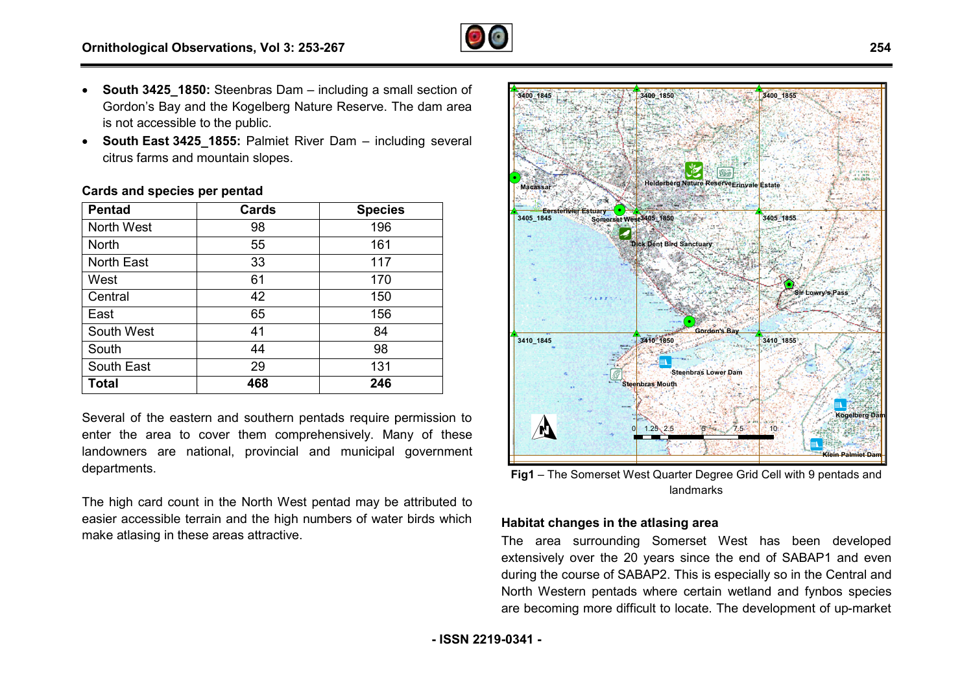- **South 3425 1850:** Steenbras Dam including a small section of Gordon's Bay and the Kogelberg Nature Reserve. The dam area
- is not accessible to the public. Gordon's Bay and the Kogelberg Nature Reserve. The dam area<br>is not accessible to the public.<br>**South East 3425\_1855:** Palmiet River Dam – including several citrus farms and mountain slopes.

#### **Cards and species per pentad**

| <b>Pentad</b> | Cards | <b>Species</b> |
|---------------|-------|----------------|
| North West    | 98    | 196            |
| <b>North</b>  | 55    | 161            |
| North East    | 33    | 117            |
| West          | 61    | 170            |
| Central       | 42    | 150            |
| East          | 65    | 156            |
| South West    | 41    | 84             |
| South         | 44    | 98             |
| South East    | 29    | 131            |
| <b>Total</b>  | 468   | 246            |

Several of the eastern and southern pentads require permission to enter the area to cover them comprehensively. Many of these landowners are national, provincial and municipal government departments.

The high card count in the North West pentad may be attributed to easier accessible terrain and the high numbers of water birds which make atlasing in these areas attractive.



**Fig1** – The Somerset West Quarter Degree Grid Cell with 9 pentads and landmarks

#### **Habitat changes in the atlasing area**

The area surrounding Somerset West has been developed extensively over the 20 years since the end of SABAP1 and even during the course of SABAP2. This is especially so in the Central and North Western pentads where certain wetland and fynbos species are becoming more difficult to locate. The development of up-market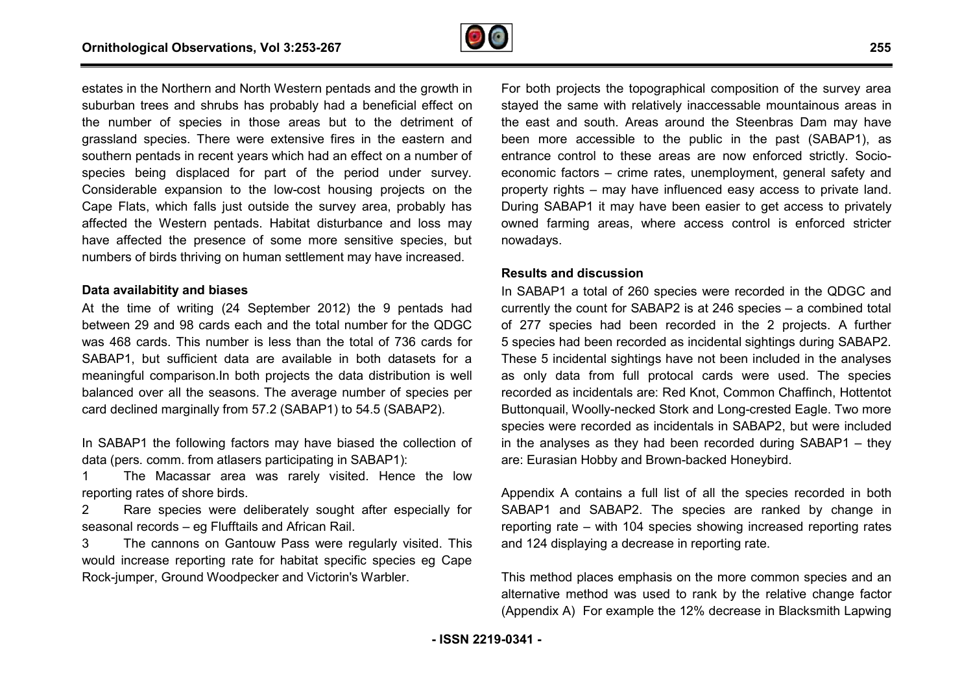

estates in the Northern and North Western pentads and the growth in suburban trees and shrubs has probably had a beneficial effect on the number of species in those areas but to the detriment of grassland species. There were extensive fires in the eastern and southern pentads in recent years which had an effect on a number of species being displaced for part of the period under survey. Considerable expansion to the low-cost housing projects on the Considerable expansion to the low-cost housing projects on the<br>Cape Flats, which falls just outside the survey area, probably has affected the Western pentads. Habitat disturbance and loss may have affected the presence of some more sensitive species, but numbers of birds thriving on human settlement may have increased.

#### **Data availabitity and biases**

At the time of writing (24 September 2012) the 9 pentads had between 29 and 98 cards each and the total number for the QDGC was 468 cards. This number is less than the total of 736 cards for SABAP1, but sufficient data are available in both datasets for a meaningful comparison.In both projects the data distribution is well balanced over all the seasons. The average number of species per card declined marginally from 57.2 (SABAP1) to 54.5 (SABAP2). data are available in both datasets<br>In both projects the data distribution<br>easons. The average number of speci<br>from 57.2 (SABAP1) to 54.5 (SABAP2<br>g factors may have biased the collec<br>atlasers participating in SABAP1):

In SABAP1 the following factors may have biased the collection of data (pers. comm. from atlasers participating in SABAP1)

1 The Macassar area was rarely visited. Hence the low reporting rates of shore birds.

2 Rare species were deliberately sought after especially for seasonal records – eg Flufftails and African Rail.

3 The cannons on Gantouw Pass were regularly visited. This would increase reporting rate for habitat specific species eg Cape Rock-jumper, Ground Woodpecker and Victorin's Warbler.

stayed the same with relatively inaccessable mountainous areas in the east and south. Areas around the Steenbras Dam may have been more accessible to the public in the past (SABAP1), as entrance control to these areas are now enforced strictly. Socioeconomic factors – crime rates, unemployment, general safety and property rights – may have influenced easy access to private land. During SABAP1 it may have been easier to get access to privately owned farming areas, where access control is enforced stricter nowadays. For both projects the topographical composition of the survey area , unemployment, general safety and<br>uenced easy access to private land.<br>een easier to get access to privately<br>access control is enforced stricter

#### **Results and discussion**

ads and the growth in<br>
For both projects the topographical composition<br>
a beneficial effect on<br>
star best and south, Areas around the Steenbris<br>
in the eastern and<br>
been more accessible to the public in the peffect on a nu In SABAP1 a total of 260 species were recorded in the QDGC and currently the count for SABAP2 is at 246 species – a combined total of 277 species had been recorded in the 2 projects. A further 5 species had been recorded as incidental sightings during SABAP2. These 5 incidental sightings have not been included in the analyses as only data from full protocal cards were used. The species recorded as incidentals are: Red Knot, Common Chaffinch, Hottentot recorded as incidentals are: Red Knot, Common Chaffinch, Hottentot<br>Buttonquail, Woolly-necked Stork and Long-crested Eagle. Two more species were recorded as incidentals in SABAP2, but were included in the analyses as they had been recorded during SABAP1 – they are: Eurasian Hobby and Brown-backed Honeybird.

Appendix A contains a full list of all the species recorded in both SABAP1 and SABAP2. The species are ranked by change in reporting rate – with 104 species showing increased reporting rates and 124 displaying a decrease in reporting rate. by and Brown-backed<br>ins a full list of all tl<br>BAP2. The species<br>th 104 species show<br>a decrease in reporti<br>is emphasis on the m<br>I was used to rank t<br>example the 12% dec

This method places emphasis on the more common species and an alternative method was used to rank by the relative change factor (Appendix A) For example the 12% decrease in Blacksmith Lapwing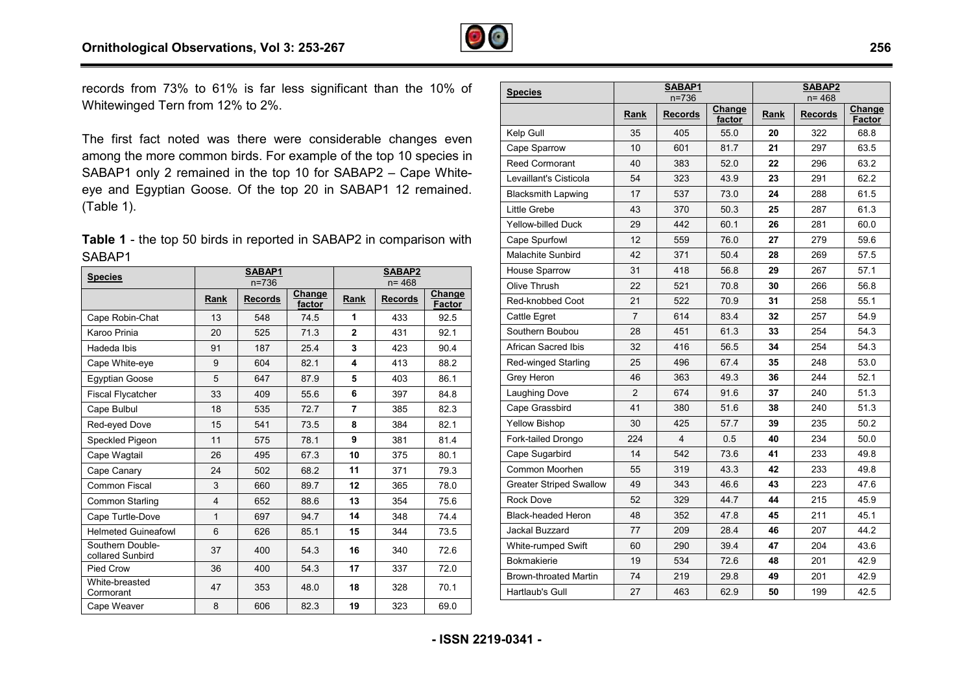

records from 73% to 61% is far less significant than the 10% of Whitewinged Tern from 12% to 2%.

The first fact noted was there were considerable changes even among the more common birds. For example of the top 10 species in records from 73% to 61% is far less significant than the 10% of<br>Whitewinged Tern from 12% to 2%.<br>The first fact noted was there were considerable changes even<br>among the more common birds. For example of the top 10 species eye and Egyptian Goose. Of the top 20 in SABAP1 12 remained. .(Table 1).

| <b>Table 1</b> - the top 50 birds in reported in SABAP2 in comparison with |  |  |
|----------------------------------------------------------------------------|--|--|
| SABAP1                                                                     |  |  |

| <b>Species</b>                       | SABAP1<br>$n = 736$ |                |                  |                | <b>SABAP2</b><br>n= 468 |                  |
|--------------------------------------|---------------------|----------------|------------------|----------------|-------------------------|------------------|
|                                      | Rank                | <b>Records</b> | Change<br>factor | Rank           | <b>Records</b>          | Change<br>Factor |
| Cape Robin-Chat                      | 13                  | 548            | 74.5             | 1              | 433                     | 92.5             |
| Karoo Prinia                         | 20                  | 525            | 71.3             | $\mathbf{2}$   | 431                     | 92.1             |
| Hadeda Ibis                          | 91                  | 187            | 25.4             | 3              | 423                     | 90.4             |
| Cape White-eye                       | 9                   | 604            | 82.1             | 4              | 413                     | 88.2             |
| <b>Eqyptian Goose</b>                | 5                   | 647            | 87.9             | 5              | 403                     | 86.1             |
| <b>Fiscal Flycatcher</b>             | 33                  | 409            | 55.6             | 6              | 397                     | 84.8             |
| Cape Bulbul                          | 18                  | 535            | 72.7             | $\overline{7}$ | 385                     | 82.3             |
| Red-eyed Dove                        | 15                  | 541            | 73.5             | 8              | 384                     | 82.1             |
| Speckled Pigeon                      | 11                  | 575            | 78.1             | 9              | 381                     | 81.4             |
| Cape Wagtail                         | 26                  | 495            | 67.3             | 10             | 375                     | 80.1             |
| Cape Canary                          | 24                  | 502            | 68.2             | 11             | 371                     | 79.3             |
| Common Fiscal                        | 3                   | 660            | 89.7             | 12             | 365                     | 78.0             |
| Common Starling                      | $\overline{4}$      | 652            | 88.6             | 13             | 354                     | 75.6             |
| Cape Turtle-Dove                     | $\mathbf{1}$        | 697            | 94.7             | 14             | 348                     | 74.4             |
| <b>Helmeted Guineafowl</b>           | 6                   | 626            | 85.1             | 15             | 344                     | 73.5             |
| Southern Double-<br>collared Sunbird | 37                  | 400            | 54.3             | 16             | 340                     | 72.6             |
| Pied Crow                            | 36                  | 400            | 54.3             | 17             | 337                     | 72.0             |
| White-breasted<br>Cormorant          | 47                  | 353            | 48.0             | 18             | 328                     | 70.1             |
| Cape Weaver                          | 8                   | 606            | 82.3             | 19             | 323                     | 69.0             |

| <b>Species</b>                 | SABAP1         |                |        | SABAP2      |                |        |
|--------------------------------|----------------|----------------|--------|-------------|----------------|--------|
|                                |                | $n = 736$      | Change |             | n= 468         | Change |
|                                | <b>Rank</b>    | <b>Records</b> | factor | <b>Rank</b> | <b>Records</b> | Factor |
| Kelp Gull                      | 35             | 405            | 55.0   | 20          | 322            | 68.8   |
| Cape Sparrow                   | 10             | 601            | 81.7   | 21          | 297            | 63.5   |
| <b>Reed Cormorant</b>          | 40             | 383            | 52.0   | 22          | 296            | 63.2   |
| Levaillant's Cisticola         | 54             | 323            | 43.9   | 23          | 291            | 62.2   |
| <b>Blacksmith Lapwing</b>      | 17             | 537            | 73.0   | 24          | 288            | 61.5   |
| Little Grebe                   | 43             | 370            | 50.3   | 25          | 287            | 61.3   |
| <b>Yellow-billed Duck</b>      | 29             | 442            | 60.1   | 26          | 281            | 60.0   |
| Cape Spurfowl                  | 12             | 559            | 76.0   | 27          | 279            | 59.6   |
| <b>Malachite Sunbird</b>       | 42             | 371            | 50.4   | 28          | 269            | 57.5   |
| House Sparrow                  | 31             | 418            | 56.8   | 29          | 267            | 57.1   |
| Olive Thrush                   | 22             | 521            | 70.8   | 30          | 266            | 56.8   |
| Red-knobbed Coot               | 21             | 522            | 70.9   | 31          | 258            | 55.1   |
| Cattle Egret                   | $\overline{7}$ | 614            | 83.4   | 32          | 257            | 54.9   |
| Southern Boubou                | 28             | 451            | 61.3   | 33          | 254            | 54.3   |
| African Sacred Ibis            | 32             | 416            | 56.5   | 34          | 254            | 54.3   |
| Red-winged Starling            | 25             | 496            | 67.4   | 35          | 248            | 53.0   |
| Grey Heron                     | 46             | 363            | 49.3   | 36          | 244            | 52.1   |
| Laughing Dove                  | $\overline{2}$ | 674            | 91.6   | 37          | 240            | 51.3   |
| Cape Grassbird                 | 41             | 380            | 51.6   | 38          | 240            | 51.3   |
| <b>Yellow Bishop</b>           | 30             | 425            | 57.7   | 39          | 235            | 50.2   |
| Fork-tailed Drongo             | 224            | 4              | 0.5    | 40          | 234            | 50.0   |
| Cape Sugarbird                 | 14             | 542            | 73.6   | 41          | 233            | 49.8   |
| Common Moorhen                 | 55             | 319            | 43.3   | 42          | 233            | 49.8   |
| <b>Greater Striped Swallow</b> | 49             | 343            | 46.6   | 43          | 223            | 47.6   |
| Rock Dove                      | 52             | 329            | 44.7   | 44          | 215            | 45.9   |
| <b>Black-headed Heron</b>      | 48             | 352            | 47.8   | 45          | 211            | 45.1   |
| Jackal Buzzard                 | 77             | 209            | 28.4   | 46          | 207            | 44.2   |
| White-rumped Swift             | 60             | 290            | 39.4   | 47          | 204            | 43.6   |
| <b>Bokmakierie</b>             | 19             | 534            | 72.6   | 48          | 201            | 42.9   |
| <b>Brown-throated Martin</b>   | 74             | 219            | 29.8   | 49          | 201            | 42.9   |
| Hartlaub's Gull                | 27             | 463            | 62.9   | 50          | 199            | 42.5   |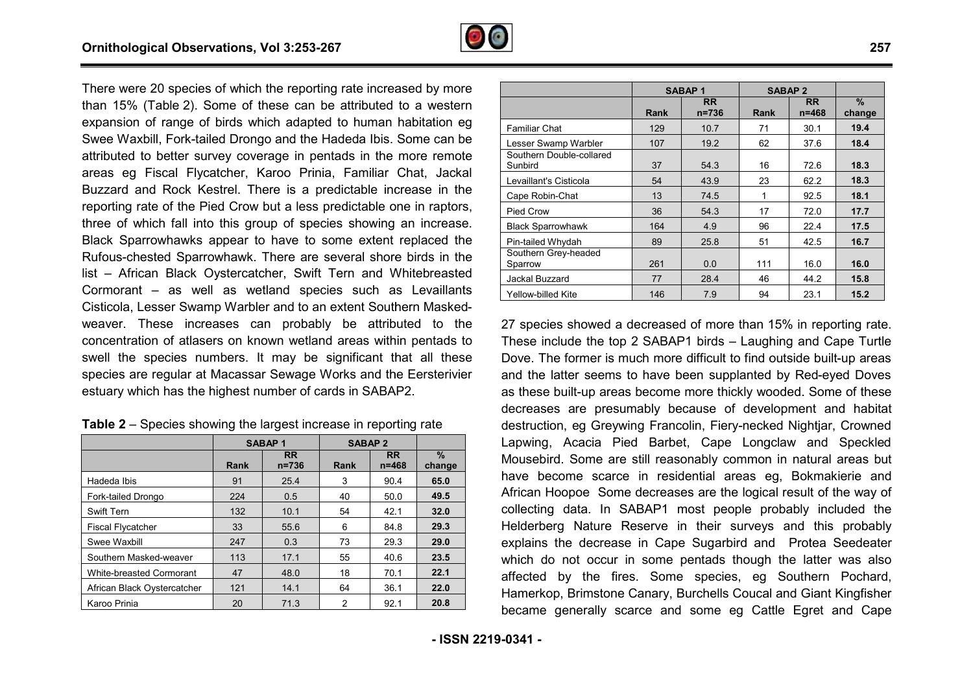

There were 20 species of which the reporting rate increased by more than 15% (Table 2). Some of these can be attributed to a western expansion of range of birds which adapted to human habitation eg Swee Waxbill, Fork-tailed Drongo and the Hadeda Ibis. Some can be attributed to better survey coverage in pentads in the more remote areas eg Fiscal Flycatcher, Karoo Prinia, Familiar Chat, Jackal Buzzard and Rock Kestrel. There is a predictable increase in the reporting rate of the Pied Crow but a less predictable one in raptors, three of which fall into this group of species showing an increase. Black Sparrowhawks appear to have to some extent replaced the Rufous-chested Sparrowhawk. There are several shore birds in the list – African Black Oystercatcher, Swift Tern and Whitebreasted Cormorant – as well as wetland species such as Levaillants Cisticola, Lesser Swamp Warbler and to an extent Southern Masked weaver. These increases can probably be attributed to the concentration of atlasers on known wetland areas within pentads to swell the species numbers. It may be significant that all these species are regular at Macassar Sewage Works and the Eersterivier estuary which has the highest number of cards in SABAP2. vere 20 species of which the reporting rate increased by more % (Table 2). Some of these can be attributed to a western<br>on of range of birds which adapted to human habitation eg<br>/axbill, Fork-tailed Drongo and the Hadeda I ular at Macassar Sewage Works and the Eerstel<br>as the highest number of cards in SABAP2.<br>ies showing the largest increase in reporting rate

|                                 | <b>SABAP1</b> |                        | <b>SABAP 2</b> |                        |                         |
|---------------------------------|---------------|------------------------|----------------|------------------------|-------------------------|
|                                 | Rank          | <b>RR</b><br>$n = 736$ | Rank           | <b>RR</b><br>$n = 468$ | $\frac{9}{6}$<br>change |
| Hadeda Ibis                     | 91            | 25.4                   | 3              | 90.4                   | 65.0                    |
| Fork-tailed Drongo              | 224           | 0.5                    | 40             | 50.0                   | 49.5                    |
| <b>Swift Tern</b>               | 132           | 10.1                   | 54             | 42.1                   | 32.0                    |
| <b>Fiscal Flycatcher</b>        | 33            | 55.6                   | 6              | 84.8                   | 29.3                    |
| Swee Waxbill                    | 247           | 0.3                    | 73             | 29.3                   | 29.0                    |
| Southern Masked-weaver          | 113           | 17.1                   | 55             | 40.6                   | 23.5                    |
| <b>White-breasted Cormorant</b> | 47            | 48.0                   | 18             | 70.1                   | 22.1                    |
| African Black Oystercatcher     | 121           | 14.1                   | 64             | 36.1                   | 22.0                    |
| Karoo Prinia                    | 20            | 71.3                   | 2              | 92.1                   | 20.8                    |

|                                                             |           | <b>SABAP1</b>          | <b>SABAP 2</b> |                        |                |
|-------------------------------------------------------------|-----------|------------------------|----------------|------------------------|----------------|
|                                                             | Rank      | <b>RR</b><br>$n = 736$ | Rank           | <b>RR</b><br>$n = 468$ | $\%$<br>change |
| <b>Familiar Chat</b>                                        | 129       | 10.7                   | 71             | 30.1                   | 19.4           |
| Lesser Swamp Warbler<br>Southern Double-collared<br>Sunbird | 107<br>37 | 19.2<br>54.3           | 62<br>16       | 37.6<br>72.6           | 18.4<br>18.3   |
| Levaillant's Cisticola                                      | 54        | 43.9                   | 23             | 62.2                   | 18.3           |
| Cape Robin-Chat                                             | 13        | 74.5                   | 1              | 92.5                   | 18.1           |
| Pied Crow                                                   | 36        | 54.3                   | 17             | 72.0                   | 17.7           |
| <b>Black Sparrowhawk</b>                                    | 164       | 4.9                    | 96             | 22.4                   | 17.5           |
| Pin-tailed Whydah                                           | 89        | 25.8                   | 51             | 42.5                   | 16.7           |
| Southern Grey-headed<br>Sparrow                             | 261       | 0.0                    | 111            | 16.0                   | 16.0           |
| Jackal Buzzard                                              | 77        | 28.4                   | 46             | 44.2                   | 15.8           |
| Yellow-billed Kite                                          | 146       | 7.9                    | 94             | 23.1                   | 15.2           |

27 species showed a decreased of more than 15% in reporting rate. These include the top 2 SABAP1 birds – Laughing and Cape Turtle Dove. The former is much more difficult to find outside built-up areas and the latter seems to have been supplanted by Red-eyed Doves as these built-up areas become more thickly wooded. Some of these decreases are presumably because of development and habitat destruction, eg Greywing Francolin, Fiery-necked Nightjar, Crowned Lapwing, Acacia Pied Barbet, Cape Longclaw and Speckled Mousebird. Some are still reasonably common in natural areas but have become scarce in residential areas eg, Bokmakierie and African Hoopoe Some decreases are the logical result of the way of collecting data. In SABAP1 most people probably included the Helderberg Nature Reserve in their surveys and this probably explains the decrease in Cape Sugarbird and Protea Seedeater which do not occur in some pentads though the latter was also affected by the fires. Some species, eg Southern Pochard, Hamerkop, Brimstone Canary, Burchells Coucal and Giant Kingfisher became generally scarce and some eg Cattle Egret and Cape up areas become more thickly wooded. Some of these<br>e presumably because of development and habitat<br>g Greywing Francolin, Fiery-necked Nightjar, Crowned<br>acia Pied Barbet, Cape Longclaw and Speckled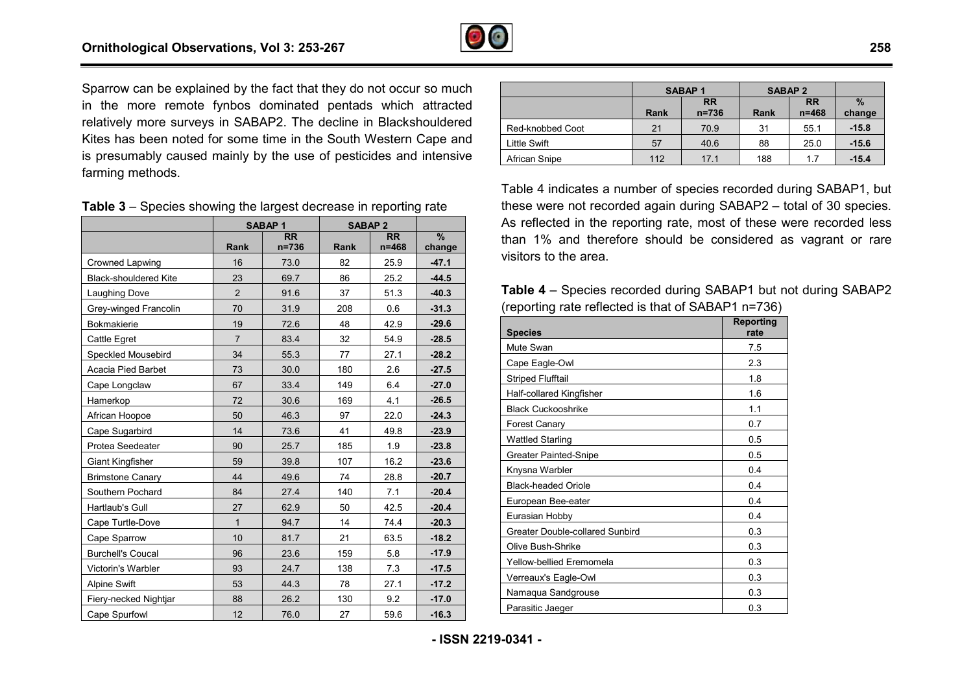

Sparrow can be explained by the fact that they do not occur so much in the more remote fynbos dominated pentads which attracted relatively more surveys in SABAP2. The decline in Blackshouldered Kites has been noted for some time in the South Western Cape and is presumably caused mainly by the use of pesticides and intensive farming methods.

| <b>Table 3</b> – Species showing the largest decrease in reporting rate |
|-------------------------------------------------------------------------|
|-------------------------------------------------------------------------|

|                              |                | <b>SABAP1</b>                         | <b>SABAP 2</b> |                              |                         |
|------------------------------|----------------|---------------------------------------|----------------|------------------------------|-------------------------|
|                              | <b>Rank</b>    | $\overline{\mathsf{RR}}$<br>$n = 736$ | Rank           | $\overline{RR}$<br>$n = 468$ | $\frac{9}{6}$<br>change |
| Crowned Lapwing              | 16             | 73.0                                  | 82             | 25.9                         | $-47.1$                 |
| <b>Black-shouldered Kite</b> | 23             | 69.7                                  | 86             | 25.2                         | $-44.5$                 |
| Laughing Dove                | 2              | 91.6                                  | 37             | 51.3                         | $-40.3$                 |
| Grey-winged Francolin        | 70             | 31.9                                  | 208            | 0.6                          | $-31.3$                 |
| <b>Bokmakierie</b>           | 19             | 72.6                                  | 48             | 42.9                         | $-29.6$                 |
| Cattle Egret                 | $\overline{7}$ | 83.4                                  | 32             | 54.9                         | $-28.5$                 |
| Speckled Mousebird           | 34             | 55.3                                  | 77             | 27.1                         | $-28.2$                 |
| Acacia Pied Barbet           | 73             | 30.0                                  | 180            | 2.6                          | $-27.5$                 |
| Cape Longclaw                | 67             | 33.4                                  | 149            | 6.4                          | $-27.0$                 |
| Hamerkop                     | 72             | 30.6                                  | 169            | 4.1                          | $-26.5$                 |
| African Hoopoe               | 50             | 46.3                                  | 97             | 22.0                         | $-24.3$                 |
| Cape Sugarbird               | 14             | 73.6                                  | 41             | 49.8                         | $-23.9$                 |
| Protea Seedeater             | 90             | 25.7                                  | 185            | 1.9                          | $-23.8$                 |
| Giant Kingfisher             | 59             | 39.8                                  | 107            | 16.2                         | $-23.6$                 |
| <b>Brimstone Canary</b>      | 44             | 49.6                                  | 74             | 28.8                         | $-20.7$                 |
| Southern Pochard             | 84             | 27.4                                  | 140            | 7.1                          | $-20.4$                 |
| Hartlaub's Gull              | 27             | 62.9                                  | 50             | 42.5                         | $-20.4$                 |
| Cape Turtle-Dove             | $\mathbf{1}$   | 94.7                                  | 14             | 74.4                         | $-20.3$                 |
| Cape Sparrow                 | 10             | 81.7                                  | 21             | 63.5                         | $-18.2$                 |
| <b>Burchell's Coucal</b>     | 96             | 23.6                                  | 159            | 5.8                          | $-17.9$                 |
| Victorin's Warbler           | 93             | 24.7                                  | 138            | 7.3                          | $-17.5$                 |
| Alpine Swift                 | 53             | 44.3                                  | 78             | 27.1                         | $-17.2$                 |
| Fiery-necked Nightjar        | 88             | 26.2                                  | 130            | 9.2                          | $-17.0$                 |
| Cape Spurfowl                | 12             | 76.0                                  | 27             | 59.6                         | $-16.3$                 |

|                     | <b>SABAP1</b> |                        | <b>SABAP 2</b> |                        |                         |
|---------------------|---------------|------------------------|----------------|------------------------|-------------------------|
|                     | <b>Rank</b>   | <b>RR</b><br>$n = 736$ | Rank           | <b>RR</b><br>$n = 468$ | $\frac{0}{2}$<br>change |
| Red-knobbed Coot    | 21            | 70.9                   | 31             | 55.1                   | $-15.8$                 |
| <b>Little Swift</b> | 57            | 40.6                   | 88             | 25.0                   | $-15.6$                 |
| African Snipe       | 112           | 17.1                   | 188            | 1.7                    | $-15.4$                 |

Table 4 indicates a number of species recorded during SABAP1, but these were not recorded again during SABAP2 – total of 30 species. As reflected in the reporting rate, most of these were recorded less than 1% and therefore should be considered as vagrant or rare visitors to the area.

**Table 4** – Species recorded during SABAP1 but not during SABAP2 (reporting rate reflected is that of SABAP1 n=736)

| <b>Species</b>                  | Reporting<br>rate |
|---------------------------------|-------------------|
| Mute Swan                       | 7.5               |
| Cape Eagle-Owl                  | 2.3               |
| <b>Striped Flufftail</b>        | 1.8               |
| Half-collared Kingfisher        | 1.6               |
| <b>Black Cuckooshrike</b>       | 1.1               |
| Forest Canary                   | 0.7               |
| <b>Wattled Starling</b>         | 0.5               |
| <b>Greater Painted-Snipe</b>    | 0.5               |
| Knysna Warbler                  | 0.4               |
| <b>Black-headed Oriole</b>      | 0.4               |
| European Bee-eater              | 0.4               |
| Eurasian Hobby                  | 0.4               |
| Greater Double-collared Sunbird | 0.3               |
| Olive Bush-Shrike               | 0.3               |
| Yellow-bellied Eremomela        | 0.3               |
| Verreaux's Eagle-Owl            | 0.3               |
| Namaqua Sandgrouse              | 0.3               |
| Parasitic Jaeger                | 0.3               |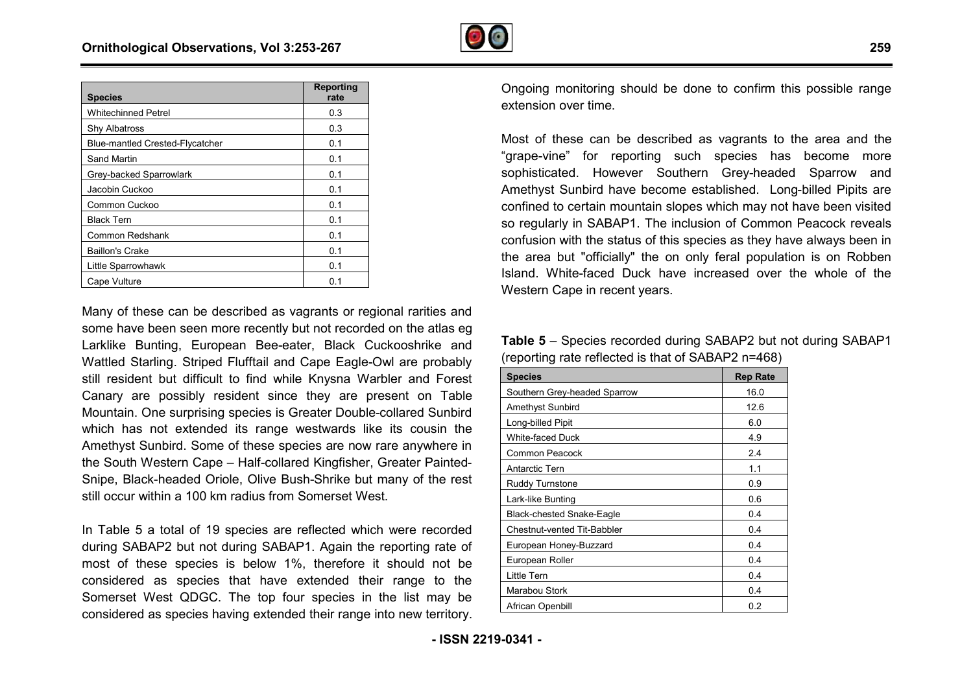

| <b>Species</b>                         | <b>Reporting</b><br>rate |
|----------------------------------------|--------------------------|
| <b>Whitechinned Petrel</b>             | 0.3                      |
| Shy Albatross                          | 0.3                      |
| <b>Blue-mantled Crested-Flycatcher</b> | 0.1                      |
| Sand Martin                            | 0.1                      |
| Grey-backed Sparrowlark                | 0.1                      |
| Jacobin Cuckoo                         | 0.1                      |
| Common Cuckoo                          | 0.1                      |
| <b>Black Tern</b>                      | 0.1                      |
| Common Redshank                        | 0.1                      |
| <b>Baillon's Crake</b>                 | 0.1                      |
| Little Sparrowhawk                     | 0.1                      |
| Cape Vulture                           | 0.1                      |

Many of these can be described as vagrants or regional rarities and some have been seen more recently but not recorded on the atlas eg Larklike Bunting, European Bee-eater, Black Cuckooshrike and Wattled Starling. Striped Flufftail and Cape Eagle-Owl are probably still resident but difficult to find while Knysna Warbler and Forest Canary are possibly resident since they are present on Table Mountain. One surprising species is Greater Double-collared Sunbird which has not extended its range westwards like its cousin the Amethyst Sunbird. Some of these species are now rare anywhere in the South Western Cape – Half-collared Kingfisher, Greater Painted Snipe, Black-headed Oriole, Olive Bush-Shrike but many of the rest still occur within a 100 km radius from Somerset West. ee-eater, Black Cuckooshrike and<br>il and Cape Eagle-Owl are probably<br>I while Knysna Warbler and Forest<br>since they are present on Table<br>s is Greater Double-collared Sunbird<br>unge westwards like its cousin the<br>se species are n

In Table 5 a total of 19 species are reflected which were recorded Snipe, Black-headed Oriole, Olive Bush-Shrike but many of the rest<br>still occur within a 100 km radius from Somerset West.<br>In Table 5 a total of 19 species are reflected which were recorded<br>during SABAP2 but not during SABA most of these species is below 1%, therefore it should not be considered as species that have extended their range to the Somerset West QDGC. The top four species in the list may be considered as species having extended their range into new territory.

Ongoing monitoring should be done to confirm this possible range extension over time.

Most of these can be described as vagrants to the area and the "grape-vine" for reporting such species has become more sophisticated. However Southern Grey-headed Sparrow and Amethyst Sunbird have become established. Long-billed Pipits are confined to certain mountain slopes which may not have been visited so regularly in SABAP1. The inclusion of Common Peacock reveals confusion with the status of this species as they have always been in the area but "officially" the on only feral population is on Robben Island. White-faced Duck have increased over the whole of the Western Cape in recent years. firm this possible range<br>hts to the area and the<br>s has become more<br>headed Sparrow and<br>d. Long-billed Pipits are

**Table 5** – Species recorded during SABAP2 but not during SABAP1 (reporting rate reflected is that of SABAP2 n=468)

| <b>Species</b>               | <b>Rep Rate</b> |
|------------------------------|-----------------|
| Southern Grey-headed Sparrow | 16.0            |
| Amethyst Sunbird             | 12.6            |
| Long-billed Pipit            | 6.0             |
| <b>White-faced Duck</b>      | 4.9             |
| Common Peacock               | 2.4             |
| Antarctic Tern               | 1.1             |
| Ruddy Turnstone              | 0.9             |
| Lark-like Bunting            | 0.6             |
| Black-chested Snake-Eagle    | 0.4             |
| Chestnut-vented Tit-Babbler  | 0.4             |
| European Honey-Buzzard       | 0.4             |
| European Roller              | 0.4             |
| Little Tern                  | 0.4             |
| Marabou Stork                | 0.4             |
| African Openbill             | 0.2             |

**259**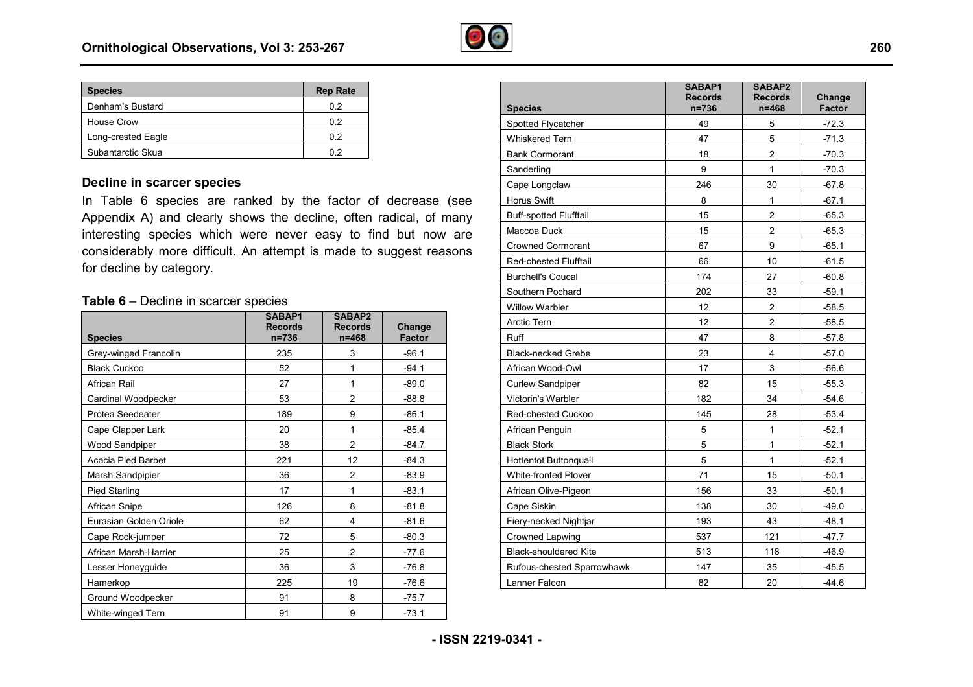

| <b>Species</b>     | <b>Rep Rate</b> |
|--------------------|-----------------|
| Denham's Bustard   | 02              |
| House Crow         | 02              |
| Long-crested Eagle | 0.2             |
| Subantarctic Skua  | በ 2             |

#### **Decline in scarcer species**

In Table 6 species are ranked by the factor of decrease (see Appendix A) and clearly shows the decline, often radical, of many interesting species which were never easy to find but now are considerably more difficult. An attempt is made to suggest reasons for decline by category.

#### **Table 6** – Decline in scarcer species

| <b>Species</b>         | SABAP1<br><b>Records</b><br>$n = 736$ | SABAP2<br><b>Records</b><br>$n = 468$ | Change<br><b>Factor</b> |
|------------------------|---------------------------------------|---------------------------------------|-------------------------|
| Grey-winged Francolin  | 235                                   | 3                                     | $-96.1$                 |
| <b>Black Cuckoo</b>    | 52                                    | 1                                     | $-94.1$                 |
| African Rail           | 27                                    | 1                                     | $-89.0$                 |
| Cardinal Woodpecker    | 53                                    | 2                                     | $-88.8$                 |
| Protea Seedeater       | 189                                   | 9                                     | $-86.1$                 |
| Cape Clapper Lark      | 20                                    | 1                                     | $-85.4$                 |
| Wood Sandpiper         | 38                                    | $\overline{c}$                        | $-84.7$                 |
| Acacia Pied Barbet     | 221                                   | 12                                    | $-84.3$                 |
| Marsh Sandpipier       | 36                                    | $\overline{2}$                        | $-83.9$                 |
| Pied Starling          | 17                                    | 1                                     | $-83.1$                 |
| African Snipe          | 126                                   | 8                                     | $-81.8$                 |
| Eurasian Golden Oriole | 62                                    | 4                                     | $-81.6$                 |
| Cape Rock-jumper       | 72                                    | 5                                     | $-80.3$                 |
| African Marsh-Harrier  | 25                                    | 2                                     | $-77.6$                 |
| Lesser Honeyguide      | 36                                    | 3                                     | $-76.8$                 |
| Hamerkop               | 225                                   | 19                                    | $-76.6$                 |
| Ground Woodpecker      | 91                                    | 8                                     | $-75.7$                 |
| White-winged Tern      | 91                                    | 9                                     | $-73.1$                 |

|                               | SABAP1<br><b>Records</b> | SABAP2<br><b>Records</b> | Change        |
|-------------------------------|--------------------------|--------------------------|---------------|
| <b>Species</b>                | n=736                    | n=468                    | <b>Factor</b> |
| Spotted Flycatcher            | 49                       | 5                        | $-72.3$       |
| <b>Whiskered Tern</b>         | 47                       | 5                        | $-71.3$       |
| <b>Bank Cormorant</b>         | 18                       | $\overline{2}$           | $-70.3$       |
| Sanderling                    | 9                        | 1                        | $-70.3$       |
| Cape Longclaw                 | 246                      | 30                       | $-67.8$       |
| <b>Horus Swift</b>            | 8                        | 1                        | $-67.1$       |
| <b>Buff-spotted Flufftail</b> | 15                       | $\overline{c}$           | $-65.3$       |
| Maccoa Duck                   | 15                       | $\overline{2}$           | $-65.3$       |
| Crowned Cormorant             | 67                       | 9                        | $-65.1$       |
| <b>Red-chested Flufftail</b>  | 66                       | 10                       | $-61.5$       |
| <b>Burchell's Coucal</b>      | 174                      | 27                       | $-60.8$       |
| Southern Pochard              | 202                      | 33                       | $-59.1$       |
| <b>Willow Warbler</b>         | 12                       | $\overline{c}$           | $-58.5$       |
| Arctic Tern                   | 12                       | $\overline{c}$           | $-58.5$       |
| Ruff                          | 47                       | 8                        | $-57.8$       |
| <b>Black-necked Grebe</b>     | 23                       | 4                        | $-57.0$       |
| African Wood-Owl              | 17                       | 3                        | $-56.6$       |
| <b>Curlew Sandpiper</b>       | 82                       | 15                       | $-55.3$       |
| Victorin's Warbler            | 182                      | 34                       | $-54.6$       |
| Red-chested Cuckoo            | 145                      | 28                       | $-53.4$       |
| African Penguin               | 5                        | 1                        | $-52.1$       |
| <b>Black Stork</b>            | 5                        | $\mathbf{1}$             | $-52.1$       |
| <b>Hottentot Buttonquail</b>  | 5                        | 1                        | $-52.1$       |
| <b>White-fronted Plover</b>   | 71                       | 15                       | $-50.1$       |
| African Olive-Pigeon          | 156                      | 33                       | $-50.1$       |
| Cape Siskin                   | 138                      | 30                       | $-49.0$       |
| Fiery-necked Nightjar         | 193                      | 43                       | $-48.1$       |
| <b>Crowned Lapwing</b>        | 537                      | 121                      | $-47.7$       |
| <b>Black-shouldered Kite</b>  | 513                      | 118                      | $-46.9$       |
| Rufous-chested Sparrowhawk    | 147                      | 35                       | $-45.5$       |
| Lanner Falcon                 | 82                       | 20                       | $-44.6$       |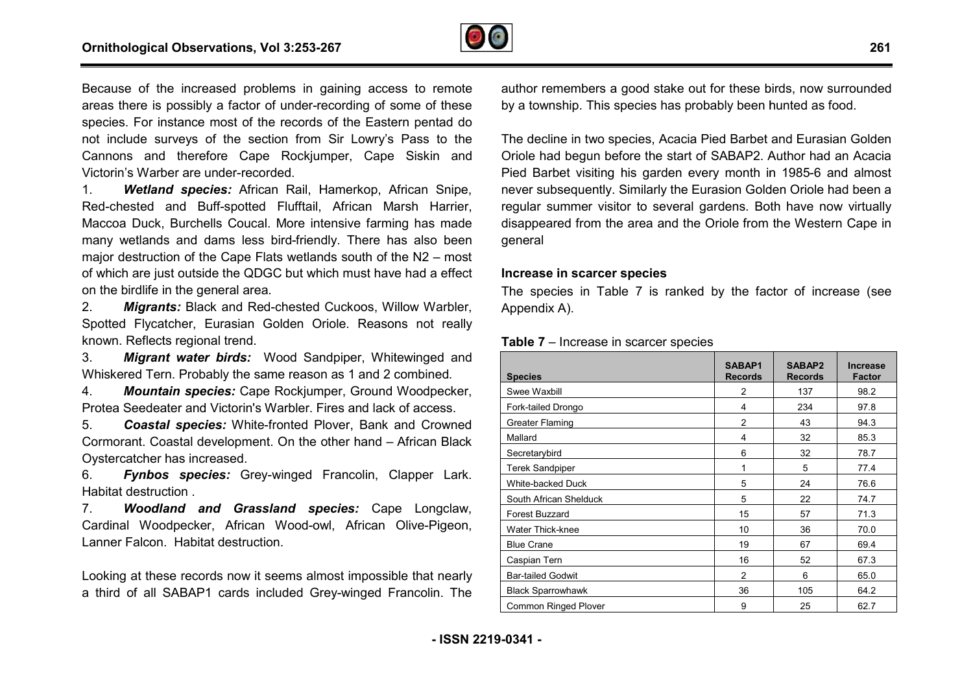

Because of the increased problems in gaining access to remote areas there is possibly a factor of under-recording of some of these species. For instance most of the records of the Eastern pentad do not include surveys of the section from Sir Lowry's Pass to the Cannons and therefore Cape Rockjumper, Cape Siskin and Victorin's Warber are under-recorded. recording of some of these<br>s of the Eastern pentad do<br>n Sir Lowry's Pass to the<br>umper, Cape Siskin and<br>Hamerkop, African Snipe,

1. *Wetland species:* African Rail, Hamerkop, A Red-chested and Buff-spotted Flufftail, African Marsh Harrier, Maccoa Duck, Burchells Coucal. More intensive farming has made many wetlands and dams less bird-friendly. There has also been major destruction of the Cape Flats wetlands south of the N2 – most of which are just outside the QDGC but which must have had a effect on the birdlife in the general area. spotted Flufftail, A<br>Coucal. More intens<br>ns less bird-friendly.

2. *Migrants:* Black and Red-chested Cuckoos, Willow Warbler, Spotted Flycatcher, Eurasian Golden Oriole. Reasons not really known. Reflects regional trend. chested Cuckoos, Willow Warbl<br>blden Oriole. Reasons not rea<br>ood Sandpiper, Whitewinged a<br>ne reason as 1 and 2 combined.

3. *Migrant water birds:* Wood Sandpiper, Whitewinged and Whiskered Tern. Probably the same reason as 1 and 2 combined

4. *Mountain species:* Cape Rockjumper, Ground Woodpecker, Protea Seedeater and Victorin's Warbler. Fires and lack of access.

5. *Coastal species:* White-fronted Plover, Bank and Crowned 5. Coastal species: White-fronted Plover, Bank and Crowned<br>Cormorant. Coastal development. On the other hand – African Black Oystercatcher has increased.

6. *Fynbos species:* Grey-winged Francolin, Clapper Lark. Habitat destruction .

7. *Woodland and Grassland species:* Cape Longclaw, Cardinal Woodpecker, African Wood-owl, African Olive-Pigeon, Lanner Falcon. Habitat destruction.

Looking at these records now it seems almost impossible that nearly a third of all SABAP1 cards included Grey-winged Francolin. The

author remembers a good stake out for these birds, now surrounded by a township. This species has probably been hunted as food.

The decline in two species, Acacia Pied Barbet and Eurasian Golden Oriole had begun before the start of SABAP2. Author had an Acacia Pied Barbet visiting his garden every month in 1985-6 and almost never subsequently. Similarly the Eurasion Golden Oriole had been a regular summer visitor to several gardens. Both have now virtually disappeared from the area and the Oriole from the Western Cape in general

#### **Increase in scarcer species**

The species in Table 7 is ranked by the factor of increase (see Appendix A).

#### **Table 7** – Increase in scarcer species

| <b>Species</b>              | SABAP1<br><b>Records</b> | SABAP2<br><b>Records</b> | <b>Increase</b><br>Factor |
|-----------------------------|--------------------------|--------------------------|---------------------------|
| Swee Waxbill                | 2                        | 137                      | 98.2                      |
| Fork-tailed Drongo          | 4                        | 234                      | 97.8                      |
| <b>Greater Flaming</b>      | $\overline{c}$           | 43                       | 94.3                      |
| Mallard                     | 4                        | 32                       | 85.3                      |
| Secretarybird               | 6                        | 32                       | 78.7                      |
| <b>Terek Sandpiper</b>      | 1                        | 5                        | 77.4                      |
| White-backed Duck           | 5                        | 24                       | 76.6                      |
| South African Shelduck      | 5                        | 22                       | 74.7                      |
| <b>Forest Buzzard</b>       | 15                       | 57                       | 71.3                      |
| <b>Water Thick-knee</b>     | 10                       | 36                       | 70.0                      |
| <b>Blue Crane</b>           | 19                       | 67                       | 69.4                      |
| Caspian Tern                | 16                       | 52                       | 67.3                      |
| <b>Bar-tailed Godwit</b>    | $\overline{2}$           | 6                        | 65.0                      |
| <b>Black Sparrowhawk</b>    | 36                       | 105                      | 64.2                      |
| <b>Common Ringed Plover</b> | 9                        | 25                       | 62.7                      |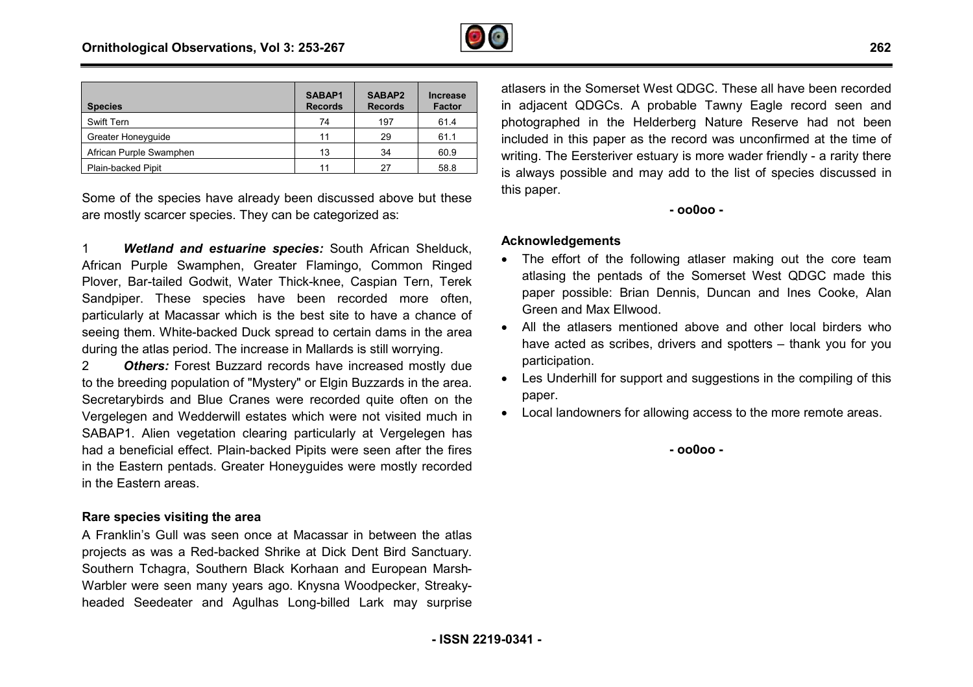

| <b>Species</b>          | SABAP1<br><b>Records</b> | SABAP2<br><b>Records</b> | <b>Increase</b><br><b>Factor</b> |
|-------------------------|--------------------------|--------------------------|----------------------------------|
| Swift Tern              | 74                       | 197                      | 61.4                             |
| Greater Honeyquide      | 11                       | 29                       | 61.1                             |
| African Purple Swamphen | 13                       | 34                       | 60.9                             |
| Plain-backed Pipit      | 11                       | 27                       | 58.8                             |

Some of the species have already been discussed above but these are mostly scarcer species. They can be categorized as:

1 *Wetland and estuarine species:* South African Shelduck, African Purple Swamphen, Greater Flamingo, Common Ringed Plover, Bar-tailed Godwit, Water Thick-knee, Caspian Tern, Terek Sandpiper. These species have been recorded more often, particularly at Macassar which is the best site to have a chance of seeing them. White-backed Duck spread to certain dams in the area during the atlas period. The increase in Mallards is still worrying.

2 *Others:* Forest Buzzard records have increased mostly due to the breeding population of "Mystery" or Elgin Buzzards in the area. Secretarybirds and Blue Cranes were recorded quite often on the Vergelegen and Wedderwill estates which were not visited much in SABAP1. Alien vegetation clearing particularly at Vergelegen has had a beneficial effect. Plain-backed Pipits were seen after the fires in the Eastern pentads. Greater Honeyguides were mostly recorded in the Eastern areas. r-tailed Godwit, Water Thick-knee, Caspian Tern, Terek<br>These species have been recorded more often,<br>at Macassar which is the best site to have a chance of<br>m. White-backed Duck spread to certain dams in the area<br>atlas perio

#### **Rare species visiting the area**

A Franklin's Gull was seen once at Macassar in between the atlas projects as was a Red-backed Shrike at Dick Dent Bird Sanctuary Southern Tchagra, Southern Black Korhaan and European Marsh Marsh-Warbler were seen many years ago. Knysna Woodpecker, Streaky Streakyheaded Seedeater and Agulhas Long-billed Lark may surprise

**Example 12**<br> **Example 12**<br> **Example 12**<br> **Example 12**<br> **Example 12**<br> **Example 12**<br> **Example 12**<br> **Example 12**<br> **Example 12**<br> **Example 12**<br> **Example 12**<br> **Example 12**<br> **Example 12**<br> **Example 12**<br> **Example 12**<br> **Example 12** in adjacent QDGCs. A probable Tawny Eagle record seen and photographed in the Helderberg Nature Reserve had not been included in this paper as the record was unconfirmed at the time of writing. The Eersteriver estuary is more wader friendly - a rarity there is always possible and may add to the list of species discussed in this paper. atlasers in the Somerset West ODGC. These all have been recorded phed in the Helderberg Nature Reserve had not been<br>in this paper as the record was unconfirmed at the time of<br>he Eersteriver estuary is more wader friendly - a rarity there

**- oo0oo -** 

#### **Acknowledgements**

- The effort of the following atlaser making out the core team atlasing the pentads of the Somerset West QDGC made this paper possible: Brian Dennis, Duncan and Ines Cooke, Alan Green and Max Ellwood.
- · All the atlasers mentioned above and other local birders who have acted as scribes, drivers and spotters – thank you for you participation. lle: Brian Dennis, Duncan and Ines Cooke, Alan<br>ax Ellwood.<br>ers mentioned above and other local birders who<br>s scribes, drivers and spotters – thank you for you
- · Les Underhill for support and suggestions in the compiling of this paper.
- · Local landowners for allowing access to the more remote areas.

**- oo0oo -**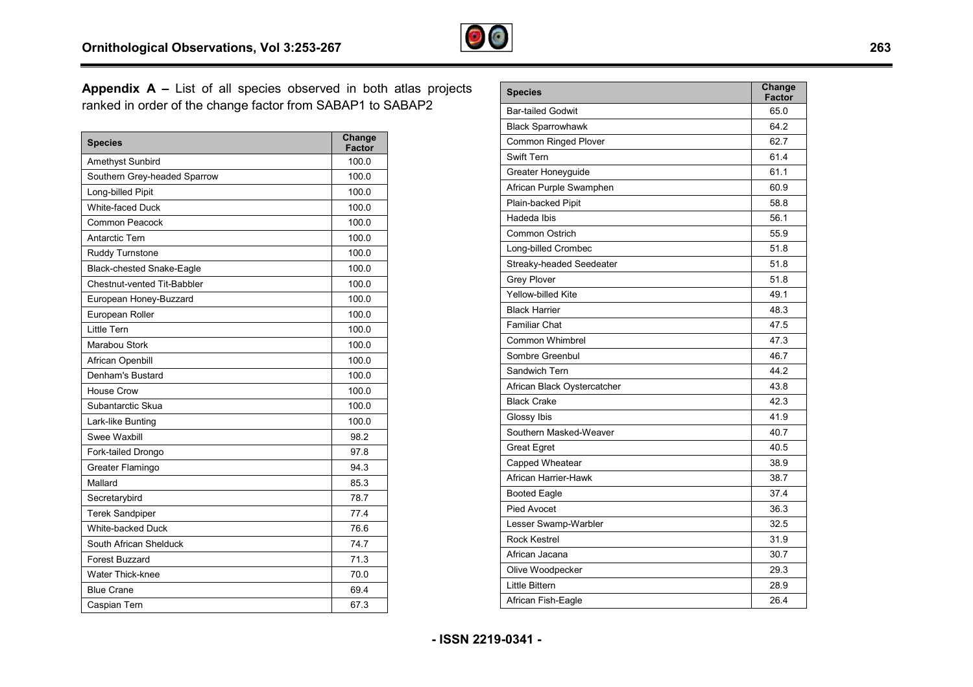

**Appendix A – List of all species observed in both atlas projects** ranked in order of the change factor from SABAP1 to SABAP2

| <b>Species</b>               | Change<br><b>Factor</b> |
|------------------------------|-------------------------|
| Amethyst Sunbird             | 100.0                   |
| Southern Grey-headed Sparrow | 100.0                   |
| Long-billed Pipit            | 100.0                   |
| <b>White-faced Duck</b>      | 100.0                   |
| <b>Common Peacock</b>        | 100.0                   |
| Antarctic Tern               | 100.0                   |
| Ruddy Turnstone              | 100.0                   |
| Black-chested Snake-Eagle    | 100.0                   |
| Chestnut-vented Tit-Babbler  | 100.0                   |
| European Honey-Buzzard       | 100.0                   |
| European Roller              | 100.0                   |
| Little Tern                  | 100.0                   |
| Marabou Stork                | 100.0                   |
| African Openbill             | 100.0                   |
| Denham's Bustard             | 100.0                   |
| House Crow                   | 100.0                   |
| Subantarctic Skua            | 100.0                   |
| Lark-like Bunting            | 100.0                   |
| Swee Waxbill                 | 98.2                    |
| Fork-tailed Drongo           | 97.8                    |
| Greater Flamingo             | 94.3                    |
| Mallard                      | 85.3                    |
| Secretarybird                | 78.7                    |
| <b>Terek Sandpiper</b>       | 77.4                    |
| White-backed Duck            | 76.6                    |
| South African Shelduck       | 74.7                    |
| <b>Forest Buzzard</b>        | 71.3                    |
| <b>Water Thick-knee</b>      | 70.0                    |
| <b>Blue Crane</b>            | 69.4                    |
| Caspian Tern                 | 67.3                    |

| <b>Species</b>              | Change<br><b>Factor</b> |
|-----------------------------|-------------------------|
| <b>Bar-tailed Godwit</b>    | 65.0                    |
| <b>Black Sparrowhawk</b>    | 64.2                    |
| <b>Common Ringed Plover</b> | 62.7                    |
| <b>Swift Tern</b>           | 61.4                    |
| Greater Honeyguide          | 61.1                    |
| African Purple Swamphen     | 60.9                    |
| Plain-backed Pipit          | 58.8                    |
| Hadeda Ibis                 | 56.1                    |
| Common Ostrich              | 55.9                    |
| Long-billed Crombec         | 51.8                    |
| Streaky-headed Seedeater    | 51.8                    |
| <b>Grey Plover</b>          | 51.8                    |
| <b>Yellow-billed Kite</b>   | 49.1                    |
| <b>Black Harrier</b>        | 48.3                    |
| <b>Familiar Chat</b>        | 47.5                    |
| <b>Common Whimbrel</b>      | 47.3                    |
| Sombre Greenbul             | 46.7                    |
| Sandwich Tern               | 44.2                    |
| African Black Oystercatcher | 43.8                    |
| <b>Black Crake</b>          | 42.3                    |
| Glossy Ibis                 | 41.9                    |
| Southern Masked-Weaver      | 40.7                    |
| <b>Great Egret</b>          | 40.5                    |
| Capped Wheatear             | 38.9                    |
| African Harrier-Hawk        | 38.7                    |
| <b>Booted Eagle</b>         | 37.4                    |
| <b>Pied Avocet</b>          | 36.3                    |
| Lesser Swamp-Warbler        | 32.5                    |
| <b>Rock Kestrel</b>         | 31.9                    |
| African Jacana              | 30.7                    |
| Olive Woodpecker            | 29.3                    |
| Little Bittern              | 28.9                    |
| African Fish-Eagle          | 26.4                    |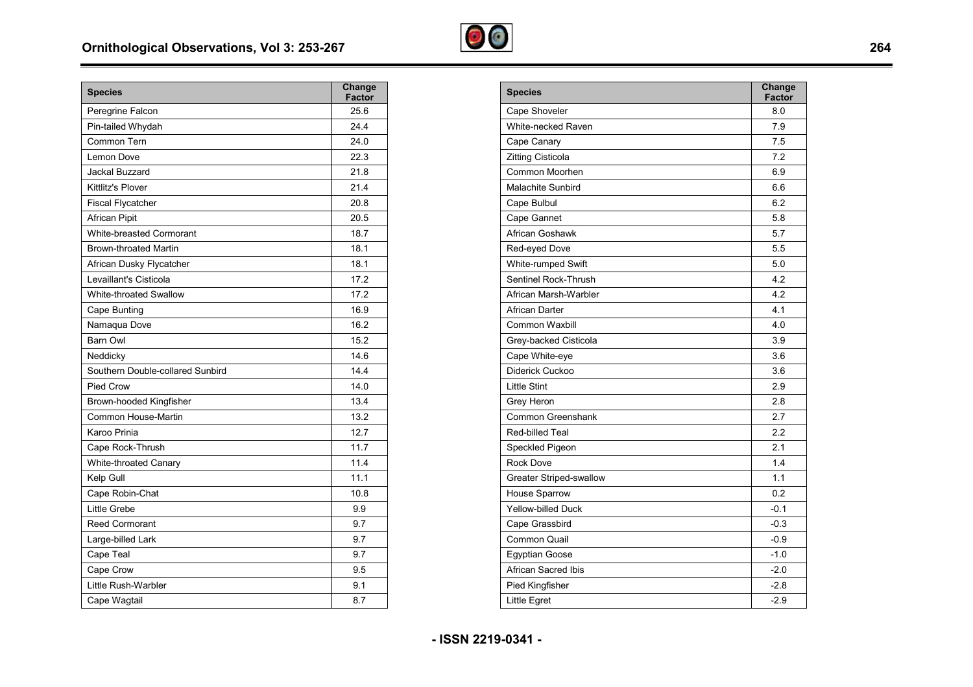

| <b>Species</b>                   | Change<br><b>Factor</b> |
|----------------------------------|-------------------------|
| Peregrine Falcon                 | 25.6                    |
| Pin-tailed Whydah                | 24.4                    |
| Common Tern                      | 24.0                    |
| Lemon Dove                       | 22.3                    |
| Jackal Buzzard                   | 21.8                    |
| <b>Kittlitz's Plover</b>         | 21.4                    |
| <b>Fiscal Flycatcher</b>         | 20.8                    |
| <b>African Pipit</b>             | 20.5                    |
| <b>White-breasted Cormorant</b>  | 18.7                    |
| <b>Brown-throated Martin</b>     | 18.1                    |
| African Dusky Flycatcher         | 18.1                    |
| Levaillant's Cisticola           | 17.2                    |
| <b>White-throated Swallow</b>    | 17.2                    |
| Cape Bunting                     | 16.9                    |
| Namaqua Dove                     | 16.2                    |
| <b>Barn Owl</b>                  | 15.2                    |
| Neddicky                         | 14.6                    |
| Southern Double-collared Sunbird | 14.4                    |
| Pied Crow                        | 14.0                    |
| Brown-hooded Kingfisher          | 13.4                    |
| Common House-Martin              | 13.2                    |
| Karoo Prinia                     | 12.7                    |
| Cape Rock-Thrush                 | 11.7                    |
| White-throated Canary            | 11.4                    |
| Kelp Gull                        | 11.1                    |
| Cape Robin-Chat                  | 10.8                    |
| Little Grebe                     | 9.9                     |
| <b>Reed Cormorant</b>            | 9.7                     |
| Large-billed Lark                | 9.7                     |
| Cape Teal                        | 9.7                     |
| Cape Crow                        | 9.5                     |
| Little Rush-Warbler              | 9.1                     |
| Cape Wagtail                     | 8.7                     |

| <b>Species</b>                 | Change<br><b>Factor</b> |
|--------------------------------|-------------------------|
| Cape Shoveler                  | 8.0                     |
| White-necked Raven             | 7.9                     |
| Cape Canary                    | 7.5                     |
| Zitting Cisticola              | 7.2                     |
| Common Moorhen                 | 6.9                     |
| <b>Malachite Sunbird</b>       | 6.6                     |
| Cape Bulbul                    | 6.2                     |
| Cape Gannet                    | 5.8                     |
| African Goshawk                | 5.7                     |
| Red-eyed Dove                  | 5.5                     |
| White-rumped Swift             | 5.0                     |
| Sentinel Rock-Thrush           | 4.2                     |
| African Marsh-Warbler          | 4.2                     |
| African Darter                 | 4.1                     |
| <b>Common Waxbill</b>          | 4.0                     |
| Grey-backed Cisticola          | 3.9                     |
| Cape White-eye                 | 3.6                     |
| Diderick Cuckoo                | 3.6                     |
| <b>Little Stint</b>            | 2.9                     |
| Grey Heron                     | 2.8                     |
| Common Greenshank              | 2.7                     |
| <b>Red-billed Teal</b>         | 2.2                     |
| Speckled Pigeon                | 2.1                     |
| <b>Rock Dove</b>               | 1.4                     |
| <b>Greater Striped-swallow</b> | 1.1                     |
| House Sparrow                  | 0.2                     |
| Yellow-billed Duck             | $-0.1$                  |
| Cape Grassbird                 | $-0.3$                  |
| Common Quail                   | $-0.9$                  |
| <b>Egyptian Goose</b>          | $-1.0$                  |
| African Sacred Ibis            | $-2.0$                  |
| Pied Kingfisher                | $-2.8$                  |
| <b>Little Egret</b>            | $-2.9$                  |

**- ISSN 2219-0341 -** 

 $\overline{\phantom{a}}$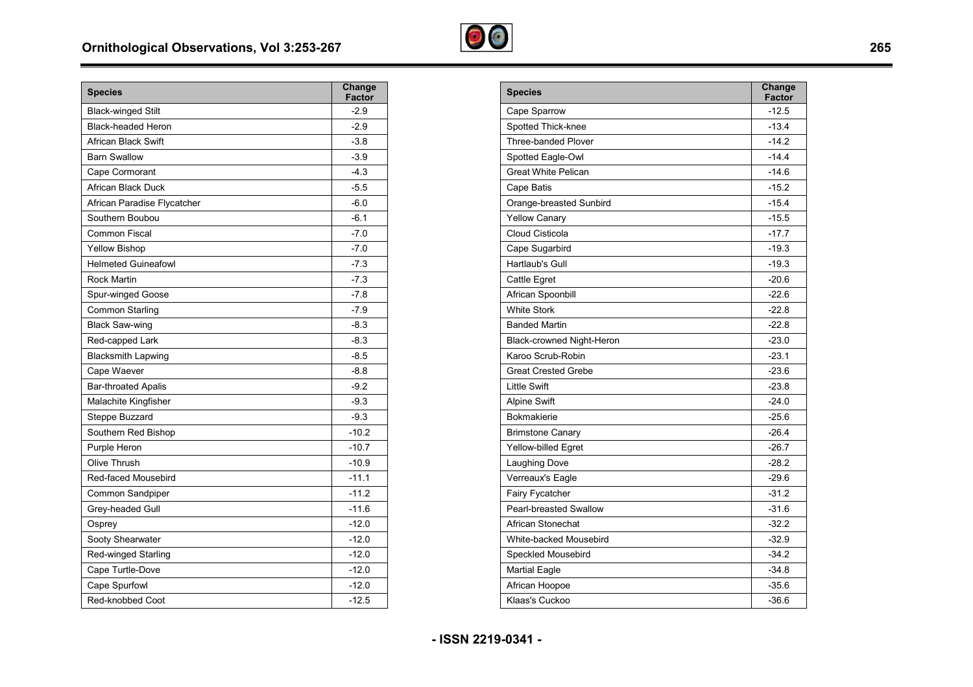

| <b>Species</b>              | Change<br><b>Factor</b> |
|-----------------------------|-------------------------|
| <b>Black-winged Stilt</b>   | $-2.9$                  |
| <b>Black-headed Heron</b>   | $-2.9$                  |
| <b>African Black Swift</b>  | $-3.8$                  |
| <b>Barn Swallow</b>         | $-3.9$                  |
| Cape Cormorant              | $-4.3$                  |
| African Black Duck          | $-5.5$                  |
| African Paradise Flycatcher | $-6.0$                  |
| Southern Boubou             | $-6.1$                  |
| Common Fiscal               | $-7.0$                  |
| <b>Yellow Bishop</b>        | $-7.0$                  |
| <b>Helmeted Guineafowl</b>  | $-7.3$                  |
| <b>Rock Martin</b>          | $-7.3$                  |
| Spur-winged Goose           | $-7.8$                  |
| Common Starling             | $-7.9$                  |
| <b>Black Saw-wing</b>       | $-8.3$                  |
| Red-capped Lark             | $-8.3$                  |
| <b>Blacksmith Lapwing</b>   | $-8.5$                  |
| Cape Waever                 | $-8.8$                  |
| <b>Bar-throated Apalis</b>  | $-9.2$                  |
| Malachite Kingfisher        | $-9.3$                  |
| Steppe Buzzard              | $-9.3$                  |
| Southern Red Bishop         | $-10.2$                 |
| Purple Heron                | $-10.7$                 |
| Olive Thrush                | $-10.9$                 |
| Red-faced Mousebird         | $-11.1$                 |
| Common Sandpiper            | $-11.2$                 |
| Grey-headed Gull            | $-11.6$                 |
| Osprey                      | $-12.0$                 |
| Sooty Shearwater            | $-12.0$                 |
| Red-winged Starling         | $-12.0$                 |
| Cape Turtle-Dove            | $-12.0$                 |
| Cape Spurfowl               | $-12.0$                 |
| Red-knobbed Coot            | $-12.5$                 |

| <b>Species</b>             | Change<br><b>Factor</b> |
|----------------------------|-------------------------|
| Cape Sparrow               | $-12.5$                 |
| Spotted Thick-knee         | $-13.4$                 |
| Three-banded Plover        | $-14.2$                 |
| Spotted Eagle-Owl          | $-14.4$                 |
| <b>Great White Pelican</b> | $-14.6$                 |
| Cape Batis                 | $-15.2$                 |
| Orange-breasted Sunbird    | $-15.4$                 |
| <b>Yellow Canary</b>       | $-15.5$                 |
| Cloud Cisticola            | $-17.7$                 |
| Cape Sugarbird             | $-19.3$                 |
| Hartlaub's Gull            | $-19.3$                 |
| Cattle Egret               | $-20.6$                 |
| African Spoonbill          | $-22.6$                 |
| <b>White Stork</b>         | $-22.8$                 |
| <b>Banded Martin</b>       | $-22.8$                 |
| Black-crowned Night-Heron  | $-23.0$                 |
| Karoo Scrub-Robin          | $-23.1$                 |
| <b>Great Crested Grebe</b> | $-23.6$                 |
| <b>Little Swift</b>        | $-23.8$                 |
| <b>Alpine Swift</b>        | $-24.0$                 |
| <b>Bokmakierie</b>         | $-25.6$                 |
| <b>Brimstone Canary</b>    | $-26.4$                 |
| Yellow-billed Egret        | $-26.7$                 |
| Laughing Dove              | $-28.2$                 |
| Verreaux's Eagle           | $-29.6$                 |
| Fairy Fycatcher            | $-31.2$                 |
| Pearl-breasted Swallow     | $-31.6$                 |
| African Stonechat          | $-32.2$                 |
| White-backed Mousebird     | $-32.9$                 |
| Speckled Mousebird         | $-34.2$                 |
| <b>Martial Eagle</b>       | $-34.8$                 |
| African Hoopoe             | $-35.6$                 |
| Klaas's Cuckoo             | $-36.6$                 |

**- ISSN 2219-0341 -** 

 $\equiv$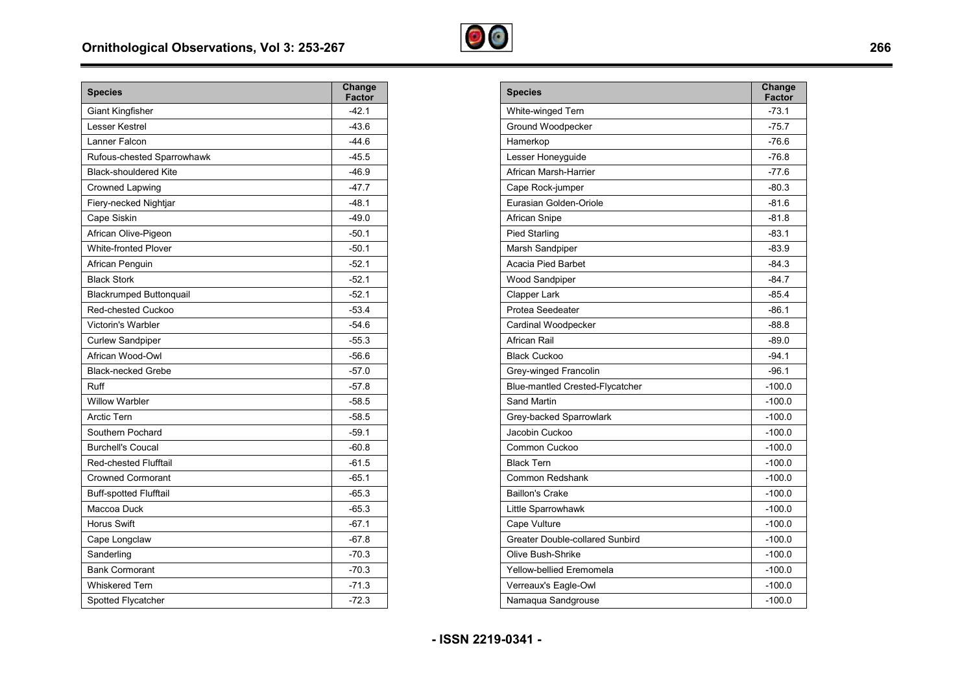

| <b>Species</b>                 | Change<br><b>Factor</b> |
|--------------------------------|-------------------------|
| <b>Giant Kingfisher</b>        | $-42.1$                 |
| Lesser Kestrel                 | $-43.6$                 |
| Lanner Falcon                  | $-44.6$                 |
| Rufous-chested Sparrowhawk     | $-45.5$                 |
| <b>Black-shouldered Kite</b>   | $-46.9$                 |
| Crowned Lapwing                | $-47.7$                 |
| Fiery-necked Nightjar          | $-48.1$                 |
| Cape Siskin                    | $-49.0$                 |
| African Olive-Pigeon           | $-50.1$                 |
| <b>White-fronted Plover</b>    | $-50.1$                 |
| African Penguin                | $-52.1$                 |
| <b>Black Stork</b>             | $-52.1$                 |
| <b>Blackrumped Buttonquail</b> | $-52.1$                 |
| Red-chested Cuckoo             | $-53.4$                 |
| Victorin's Warbler             | $-54.6$                 |
| <b>Curlew Sandpiper</b>        | $-55.3$                 |
| African Wood-Owl               | $-56.6$                 |
| <b>Black-necked Grebe</b>      | $-57.0$                 |
| Ruff                           | $-57.8$                 |
| <b>Willow Warbler</b>          | $-58.5$                 |
| <b>Arctic Tern</b>             | $-58.5$                 |
| Southern Pochard               | $-59.1$                 |
| <b>Burchell's Coucal</b>       | $-60.8$                 |
| <b>Red-chested Flufftail</b>   | $-61.5$                 |
| <b>Crowned Cormorant</b>       | $-65.1$                 |
| <b>Buff-spotted Flufftail</b>  | $-65.3$                 |
| Maccoa Duck                    | $-65.3$                 |
| <b>Horus Swift</b>             | $-67.1$                 |
| Cape Longclaw                  | $-67.8$                 |
| Sanderling                     | $-70.3$                 |
| <b>Bank Cormorant</b>          | $-70.3$                 |
| <b>Whiskered Tern</b>          | $-71.3$                 |
| Spotted Flycatcher             | $-72.3$                 |

| <b>Species</b>                         | Change<br>Factor |
|----------------------------------------|------------------|
| White-winged Tern                      | $-73.1$          |
| Ground Woodpecker                      | $-75.7$          |
| Hamerkop                               | $-76.6$          |
| Lesser Honeyguide                      | $-76.8$          |
| African Marsh-Harrier                  | $-77.6$          |
| Cape Rock-jumper                       | $-80.3$          |
| Eurasian Golden-Oriole                 | $-81.6$          |
| African Snipe                          | $-81.8$          |
| <b>Pied Starling</b>                   | $-83.1$          |
| Marsh Sandpiper                        | -83.9            |
| Acacia Pied Barbet                     | $-84.3$          |
| Wood Sandpiper                         | $-84.7$          |
| Clapper Lark                           | $-85.4$          |
| Protea Seedeater                       | $-86.1$          |
| Cardinal Woodpecker                    | $-88.8$          |
| African Rail                           | $-89.0$          |
| <b>Black Cuckoo</b>                    | $-94.1$          |
| Grey-winged Francolin                  | $-96.1$          |
| Blue-mantled Crested-Flycatcher        | $-100.0$         |
| Sand Martin                            | $-100.0$         |
| Grey-backed Sparrowlark                | $-100.0$         |
| Jacobin Cuckoo                         | $-100.0$         |
| Common Cuckoo                          | $-100.0$         |
| <b>Black Tern</b>                      | $-100.0$         |
| Common Redshank                        | $-100.0$         |
| <b>Baillon's Crake</b>                 | $-100.0$         |
| Little Sparrowhawk                     | $-100.0$         |
| Cape Vulture                           | $-100.0$         |
| <b>Greater Double-collared Sunbird</b> | $-100.0$         |
| Olive Bush-Shrike                      | $-100.0$         |
| Yellow-bellied Eremomela               | -100.0           |
| Verreaux's Eagle-Owl                   | $-100.0$         |
| Namaqua Sandgrouse                     | -100.0           |

**- ISSN 2219-0341 -** 

-